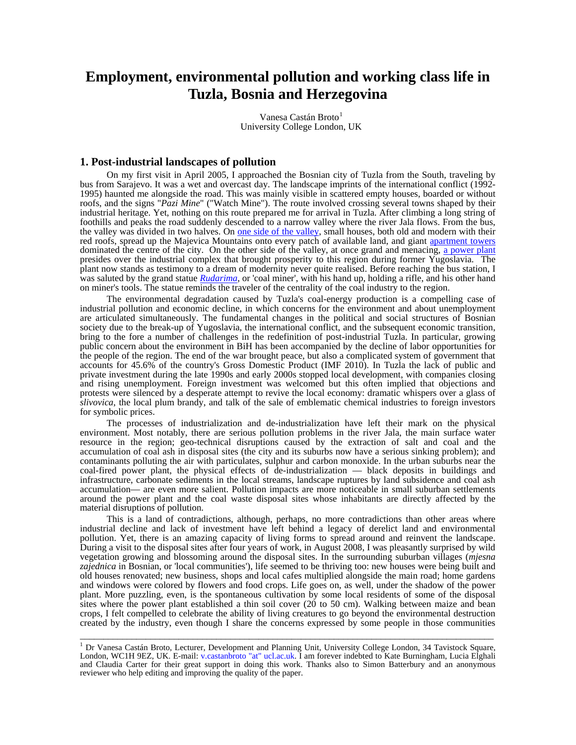# **Employment, environmental pollution and working class life in Tuzla, Bosnia and Herzegovina**

Vanesa Castán Broto<sup>[1](#page-0-0)</sup> University College London, UK

#### **1. Post-industrial landscapes of pollution**

On my first visit in April 2005, I approached the Bosnian city of Tuzla from the South, traveling by bus from Sarajevo. It was a wet and overcast day. The landscape imprints of the international conflict (1992-<br>1995) haunted me alongside the road. This was mainly visible in scattered empty houses, boarded or without roofs, and the signs "*Pazi Mine*" ("Watch Mine"). The route involved crossing several towns shaped by their industrial heritage. Yet, nothing on this route prepared me for arrival in Tuzla. After climbing a long string of foothills and peaks the road suddenly descended to a narrow valley where the river Jala flows. From the bus, the valley was divided in two halves. On [one side of the valley,](http://en.wikipedia.org/wiki/File:Tuzla_View_of_Tuzla.jpg) small houses, both old and modern with their red roofs, spread up the Majevica Mountains onto every patch of available land, and giant [apartment towers](http://en.wikipedia.org/wiki/File:Tuzlaci.jpg) dominated the centre of the city. On the other side of the valley, at once grand and menacing, [a power plant](http://en.wikipedia.org/wiki/File:Termoelektrana_Tuzla.JPG) presides over the industrial complex that brought prosperity to this region during former Yugoslavia. The plant now stands as testimony to a dream of modernity never quite realised. Before reaching the bus station, I was saluted by the grand statue *[Rudarima](http://en.wikipedia.org/wiki/File:Tuzla-Husinjski_rudar.jpg)*, or 'coal miner', with his hand up, holding a rifle, and his other hand on miner's tools. The statue reminds the traveler of the centrality of the coal industry to the region.

The environmental degradation caused by Tuzla's coal-energy production is a compelling case of industrial pollution and economic decline, in which concerns for the environment and about unemployment are articulated simultaneously. The fundamental changes in the political and social structures of Bosnian society due to the break-up of Yugoslavia, the international conflict, and the subsequent economic transition, bring to the fore a number of challenges in the redefinition of post-industrial Tuzla. In particular, growing public concern about the environment in BiH has been accompanied by the decline of labor opportunities for the people of the region. The end of the war brought peace, but also a complicated system of government that accounts for 45.6% of the country's Gross Domestic Product (IMF 2010). In Tuzla the lack of public and private investment during the late 1990s and early 2000s stopped local development, with companies closing and rising unemployment. Foreign investment was welcomed but this often implied that objections and protests were silenced by a desperate attempt to revive the local economy: dramatic whispers over a glass of *slivovica*, the local plum brandy, and talk of the sale of emblematic chemical industries to foreign investors for symbolic prices.

The processes of industrialization and de-industrialization have left their mark on the physical environment. Most notably, there are serious pollution problems in the river Jala, the main surface water resource in the region; geo-technical disruptions caused by the extraction of salt and coal and the accumulation of coal ash in disposal sites (the city and its suburbs now have a serious sinking problem); and contaminants polluting the air with particulates, sulphur and carbon monoxide. In the urban suburbs near the coal-fired power plant, the physical effects of de-industrialization — black deposits in buildings and infrastructure, carbonate sediments in the local streams, landscape ruptures by land subsidence and coal ash accumulation— are even more salient. Pollution impacts are more noticeable in small suburban settlements around the power plant and the coal waste disposal sites whose inhabitants are directly affected by the material disruptions of pollution.

This is a land of contradictions, although, perhaps, no more contradictions than other areas where industrial decline and lack of investment have left behind a legacy of derelict land and environmental pollution. Yet, there is an amazing capacity of living forms to spread around and reinvent the landscape. During a visit to the disposal sites after four years of work, in August 2008, I was pleasantly surprised by wild vegetation growing and blossoming around the disposal sites. In the surrounding suburban villages (*mjesna zajednica* in Bosnian, or 'local communities'), life seemed to be thriving too: new houses were being built and old houses renovated; new business, shops and local cafes multiplied alongside the main road; home gardens and windows were colored by flowers and food crops. Life goes on, as well, under the shadow of the power plant. More puzzling, even, is the spontaneous cultivation by some local residents of some of the disposal sites where the power plant established a thin soil cover (20 to 50 cm). Walking between maize and bean crops, I felt compelled to celebrate the ability of living creatures to go beyond the environmental destruction created by the industry, even though I share the concerns expressed by some people in those communities

\_\_\_\_\_\_\_\_\_\_\_\_\_\_\_\_\_\_\_\_\_\_\_\_\_\_\_\_\_\_\_\_\_\_\_\_\_\_\_\_\_\_\_\_\_\_\_\_\_\_\_\_\_\_\_\_\_\_\_\_\_\_\_\_\_\_\_\_\_\_\_\_\_\_\_\_\_\_\_\_\_\_\_\_\_\_\_\_

<span id="page-0-0"></span><sup>&</sup>lt;sup>1</sup> Dr Vanesa Castán Broto, Lecturer, Development and Planning Unit, University College London, 34 Tavistock Square, London, WC1H 9EZ, UK. E-mail: v.castanbroto "at" ucl.ac.uk. I am forever indebted to Kate Burningham, Lucia Elghali and Claudia Carter for their great support in doing this work. Thanks also to Simon Batterbury and an anonymous reviewer who help editing and improving the quality of the paper.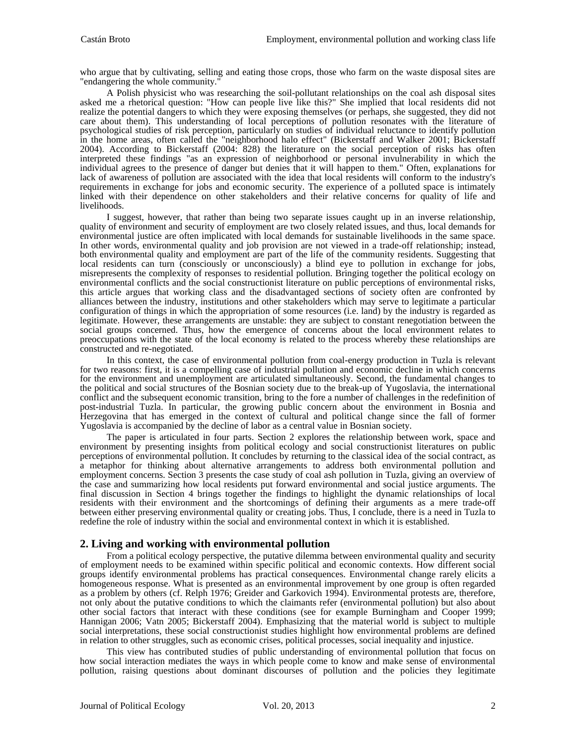who argue that by cultivating, selling and eating those crops, those who farm on the waste disposal sites are "endangering the whole community."

A Polish physicist who was researching the soil-pollutant relationships on the coal ash disposal sites asked me a rhetorical question: "How can people live like this?" She implied that local residents did not realize the potential dangers to which they were exposing themselves (or perhaps, she suggested, they did not care about them). This understanding of local perceptions of pollution resonates with the literature of psychological studies of risk perception, particularly on studies of individual reluctance to identify pollution in the home areas, often called the "neighborhood halo effect" (Bickerstaff and Walker 2001; Bickerstaff 2004). According to Bickerstaff (2004: 828) the literature on the social perception of risks has often interpreted these findings "as an expression of neighborhood or personal invulnerability in which the individual agrees to the presence of danger but denies that it will happen to them." Often, explanations for lack of awareness of pollution are associated with the idea that local residents will conform to the industry's requirements in exchange for jobs and economic security. The experience of a polluted space is intimately linked with their dependence on other stakeholders and their relative concerns for quality of life and livelihoods.

I suggest, however, that rather than being two separate issues caught up in an inverse relationship, quality of environment and security of employment are two closely related issues, and thus, local demands for environmental justice are often implicated with local demands for sustainable livelihoods in the same space. In other words, environmental quality and job provision are not viewed in a trade-off relationship; instead, both environmental quality and employment are part of the life of the community residents. Suggesting that local residents can turn (consciously or unconsciously) a blind eye to pollution in exchange for jobs, misrepresents the complexity of responses to residential pollution. Bringing together the political ecology on environmental conflicts and the social constructionist literature on public perceptions of environmental risks, this article argues that working class and the disadvantaged sections of society often are confronted by alliances between the industry, institutions and other stakeholders which may serve to legitimate a particular configuration of things in which the appropriation of some resources (i.e. land) by the industry is regarded as legitimate. However, these arrangements are unstable: they are subject to constant renegotiation between the social groups concerned. Thus, how the emergence of concerns about the local environment relates to preoccupations with the state of the local economy is related to the process whereby these relationships are constructed and re-negotiated.

In this context, the case of environmental pollution from coal-energy production in Tuzla is relevant for two reasons: first, it is a compelling case of industrial pollution and economic decline in which concerns for the environment and unemployment are articulated simultaneously. Second, the fundamental changes to the political and social structures of the Bosnian society due to the break-up of Yugoslavia, the international conflict and the subsequent economic transition, bring to the fore a number of challenges in the redefinition of post-industrial Tuzla. In particular, the growing public concern about the environment in Bosnia and Herzegovina that has emerged in the context of cultural and political change since the fall of former Yugoslavia is accompanied by the decline of labor as a central value in Bosnian society.

The paper is articulated in four parts. Section 2 explores the relationship between work, space and environment by presenting insights from political ecology and social constructionist literatures on public perceptions of environmental pollution. It concludes by returning to the classical idea of the social contract, as a metaphor for thinking about alternative arrangements to address both environmental pollution and employment concerns. Section 3 presents the case study of coal ash pollution in Tuzla, giving an overview of the case and summarizing how local residents put forward environmental and social justice arguments. The final discussion in Section 4 brings together the findings to highlight the dynamic relationships of local residents with their environment and the shortcomings of defining their arguments as a mere trade-off between either preserving environmental quality or creating jobs. Thus, I conclude, there is a need in Tuzla to redefine the role of industry within the social and environmental context in which it is established.

# **2. Living and working with environmental pollution**

From a political ecology perspective, the putative dilemma between environmental quality and security of employment needs to be examined within specific political and economic contexts. How different social groups identify environmental problems has practical consequences. Environmental change rarely elicits a homogeneous response. What is presented as an environmental improvement by one group is often regarded as a problem by others (cf. Relph 1976; Greider and Garkovich 1994). Environmental protests are, therefore, not only about the putative conditions to which the claimants refer (environmental pollution) but also about other social factors that interact with these conditions (see for example Burningham and Cooper 1999; Hannigan 2006; Vatn 2005; Bickerstaff 2004). Emphasizing that the material world is subject to multiple social interpretations, these social constructionist studies highlight how environmental problems are defined in relation to other struggles, such as economic crises, political processes, social inequality and injustice.

This view has contributed studies of public understanding of environmental pollution that focus on how social interaction mediates the ways in which people come to know and make sense of environmental pollution, raising questions about dominant discourses of pollution and the policies they legitimate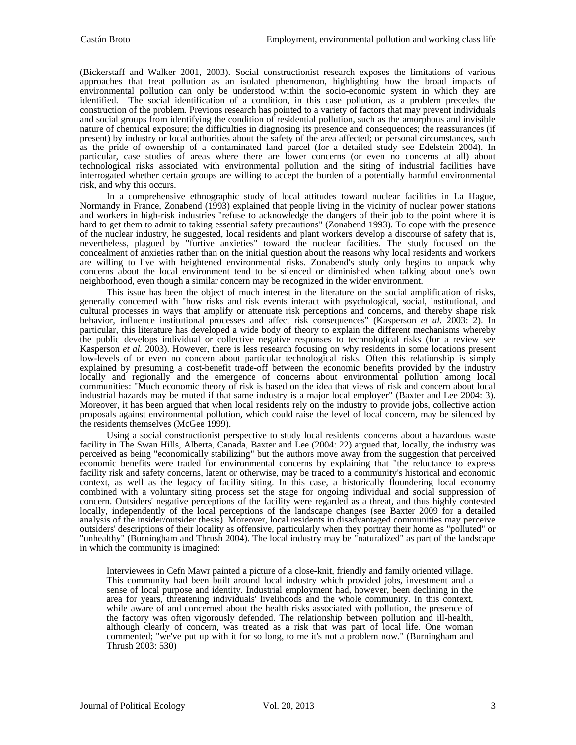(Bickerstaff and Walker 2001, 2003). Social constructionist research exposes the limitations of various approaches that treat pollution as an isolated phenomenon, highlighting how the broad impacts of environmental pollution can only be understood within the socio-economic system in which they are identified. The social identification of a condition, in this case pollution, as a problem precedes the construction of the problem. Previous research has pointed to a variety of factors that may prevent individuals and social groups from identifying the condition of residential pollution, such as the amorphous and invisible nature of chemical exposure; the difficulties in diagnosing its presence and consequences; the reassurances (if present) by industry or local authorities about the safety of the area affected; or personal circumstances, such as the pride of ownership of a contaminated land parcel (for a detailed study see Edelstein 2004). In particular, case studies of areas where there are lower concerns (or even no concerns at all) about technological risks associated with environmental pollution and the siting of industrial facilities have interrogated whether certain groups are willing to accept the burden of a potentially harmful environmental risk, and why this occurs.

In a comprehensive ethnographic study of local attitudes toward nuclear facilities in La Hague, Normandy in France, Zonabend (1993) explained that people living in the vicinity of nuclear power stations and workers in high-risk industries "refuse to acknowledge the dangers of their job to the point where it is hard to get them to admit to taking essential safety precautions" (Zonabend 1993). To cope with the presence of the nuclear industry, he suggested, local residents and plant workers develop a discourse of safety that is, nevertheless, plagued by "furtive anxieties" toward the nuclear facilities. The study focused on the concealment of anxieties rather than on the initial question about the reasons why local residents and workers are willing to live with heightened environmental risks. Zonabend's study only begins to unpack why concerns about the local environment tend to be silenced or diminished when talking about one's own neighborhood, even though a similar concern may be recognized in the wider environment.

This issue has been the object of much interest in the literature on the social amplification of risks, generally concerned with "how risks and risk events interact with psychological, social, institutional, and cultural processes in ways that amplify or attenuate risk perceptions and concerns, and thereby shape risk behavior, influence institutional processes and affect risk consequences" (Kasperson *et al.* 2003: 2). In particular, this literature has developed a wide body of theory to explain the different mechanisms whereby the public develops individual or collective negative responses to technological risks (for a review see Kasperson *et al.* 2003). However, there is less research focusing on why residents in some locations present low-levels of or even no concern about particular technological risks. Often this relationship is simply explained by presuming a cost-benefit trade-off between the economic benefits provided by the industry locally and regionally and the emergence of concerns about environmental pollution among local communities: "Much economic theory of risk is based on the idea that views of risk and concern about local industrial hazards may be muted if that same industry is a major local employer" (Baxter and Lee 2004: 3). Moreover, it has been argued that when local residents rely on the industry to provide jobs, collective action proposals against environmental pollution, which could raise the level of local concern, may be silenced by the residents themselves (McGee 1999).

Using a social constructionist perspective to study local residents' concerns about a hazardous waste facility in The Swan Hills, Alberta, Canada, Baxter and Lee (2004: 22) argued that, locally, the industry was perceived as being "economically stabilizing" but the authors move away from the suggestion that perceived economic benefits were traded for environmental concerns by explaining that "the reluctance to express facility risk and safety concerns, latent or otherwise, may be traced to a community's historical and economic context, as well as the legacy of facility siting. In this case, a historically floundering local economy combined with a voluntary siting process set the stage for ongoing individual and social suppression of concern. Outsiders' negative perceptions of the facility were regarded as a threat, and thus highly contested locally, independently of the local perceptions of the landscape changes (see Baxter 2009 for a detailed analysis of the insider/outsider thesis). Moreover, local residents in disadvantaged communities may perceive outsiders' descriptions of their locality as offensive, particularly when they portray their home as "polluted" "unhealthy" (Burningham and Thrush 2004). The local industry may be "naturalized" as part of the landscape in which the community is imagined:

Interviewees in Cefn Mawr painted a picture of a close-knit, friendly and family oriented village. This community had been built around local industry which provided jobs, investment and a sense of local purpose and identity. Industrial employment had, however, been declining in the area for years, threatening individuals' livelihoods and the whole community. In this context, while aware of and concerned about the health risks associated with pollution, the presence of the factory was often vigorously defended. The relationship between pollution and ill-health, although clearly of concern, was treated as a risk that was part of local life. One woman commented; "we've put up with it for so long, to me it's not a problem now." (Burningham and Thrush 2003: 530)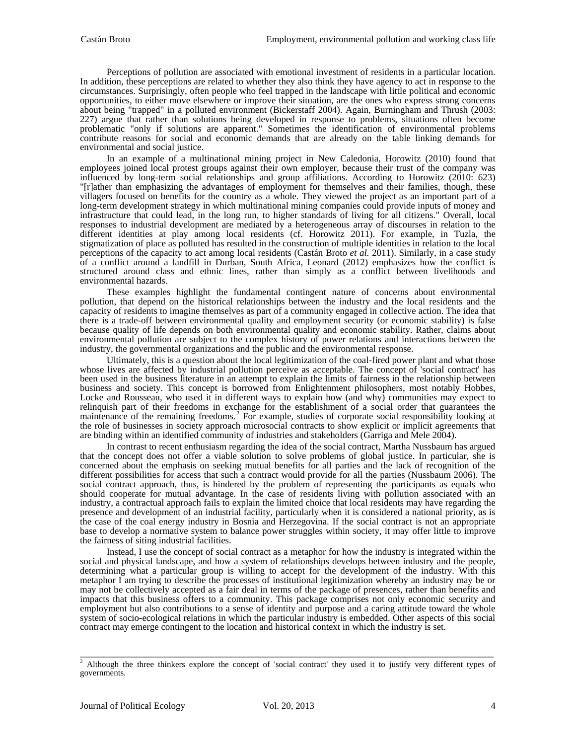Perceptions of pollution are associated with emotional investment of residents in a particular location. In addition, these perceptions are related to whether they also think they have agency to act in response to the circumstances. Surprisingly, often people who feel trapped in the landscape with little political and economic opportunities, to either move elsewhere or improve their situation, are the ones who express strong concerns about being "trapped" in a polluted environment (Bickerstaff 2004). Again, Burningham and Thrush (2003: 227) argue that rather than solutions being developed in response to problems, situations often become problematic "only if solutions are apparent." Sometimes the identification of environmental problems contribute reasons for social and economic demands that are already on the table linking demands for environmental and social justice.

In an example of a multinational mining project in New Caledonia, Horowitz (2010) found that employees joined local protest groups against their own employer, because their trust of the company was influenced by long-term social relationships and group affiliations. According to Horowitz (2010: 623) "[r]ather than emphasizing the advantages of employment for themselves and their families, though, these villagers focused on benefits for the country as a whole. They viewed the project as an important part of a long-term development strategy in which multinational mining companies could provide inputs of money and infrastructure that could lead, in the long run, to higher standards of living for all citizens." Overall, local responses to industrial development are mediated by a heterogeneous array of discourses in relation to the different identities at play among local residents (cf. Horowitz 2011). For example, in Tuzla, the stigmatization of place as polluted has resulted in the construction of multiple identities in relation to the local perceptions of the capacity to act among local residents (Castán Broto *et al.* 2011). Similarly, in a case study of a conflict around a landfill in Durban, South Africa, Leonard (2012) emphasizes how the conflict is structured around class and ethnic lines, rather than simply as a conflict between livelihoods and environmental hazards.

These examples highlight the fundamental contingent nature of concerns about environmental pollution, that depend on the historical relationships between the industry and the local residents and the capacity of residents to imagine themselves as part of a community engaged in collective action. The idea that there is a trade-off between environmental quality and employment security (or economic stability) is false because quality of life depends on both environmental quality and economic stability. Rather, claims about environmental pollution are subject to the complex history of power relations and interactions between the industry, the governmental organizations and the public and the environmental response.

Ultimately, this is a question about the local legitimization of the coal-fired power plant and what those whose lives are affected by industrial pollution perceive as acceptable. The concept of 'social contract' has been used in the business literature in an attempt to explain the limits of fairness in the relationship between business and society. This concept is borrowed from Enlightenment philosophers, most notably Hobbes, Locke and Rousseau, who used it in different ways to explain how (and why) communities may expect to relinquish part of their freedoms in exchange for the establishment of a social order that guarantees the maintenance of the remaining freedoms.<sup>[2](#page-3-0)</sup> For example, studies of corporate social responsibility looking at the role of businesses in society approach microsocial contracts to show explicit or implicit agreements that are binding within an identified community of industries and stakeholders (Garriga and Mele 2004).

In contrast to recent enthusiasm regarding the idea of the social contract, Martha Nussbaum has argued that the concept does not offer a viable solution to solve problems of global justice. In particular, she is concerned about the emphasis on seeking mutual benefits for all parties and the lack of recognition of the different possibilities for access that such a contract would provide for all the parties (Nussbaum 2006). The social contract approach, thus, is hindered by the problem of representing the participants as equals who should cooperate for mutual advantage. In the case of residents living with pollution associated with an industry, a contractual approach fails to explain the limited choice that local residents may have regarding the presence and development of an industrial facility, particularly when it is considered a national priority, as is the case of the coal energy industry in Bosnia and Herzegovina. If the social contract is not an appropriate base to develop a normative system to balance power struggles within society, it may offer little to improve the fairness of siting industrial facilities.

Instead, I use the concept of social contract as a metaphor for how the industry is integrated within the social and physical landscape, and how a system of relationships develops between industry and the people, determining what a particular group is willing to accept for the development of the industry. With this metaphor I am trying to describe the processes of institutional legitimization whereby an industry may be or may not be collectively accepted as a fair deal in terms of the package of presences, rather than benefits and impacts that this business offers to a community. This package comprises not only economic security and employment but also contributions to a sense of identity and purpose and a caring attitude toward the whole system of socio-ecological relations in which the particular industry is embedded. Other aspects of this social contract may emerge contingent to the location and historical context in which the industry is set.

<span id="page-3-0"></span>\_\_\_\_\_\_\_\_\_\_\_\_\_\_\_\_\_\_\_\_\_\_\_\_\_\_\_\_\_\_\_\_\_\_\_\_\_\_\_\_\_\_\_\_\_\_\_\_\_\_\_\_\_\_\_\_\_\_\_\_\_\_\_\_\_\_\_\_\_\_\_\_\_\_\_\_\_\_\_\_\_\_\_\_\_\_\_\_ <sup>2</sup> Although the three thinkers explore the concept of 'social contract' they used it to justify very different types of governments.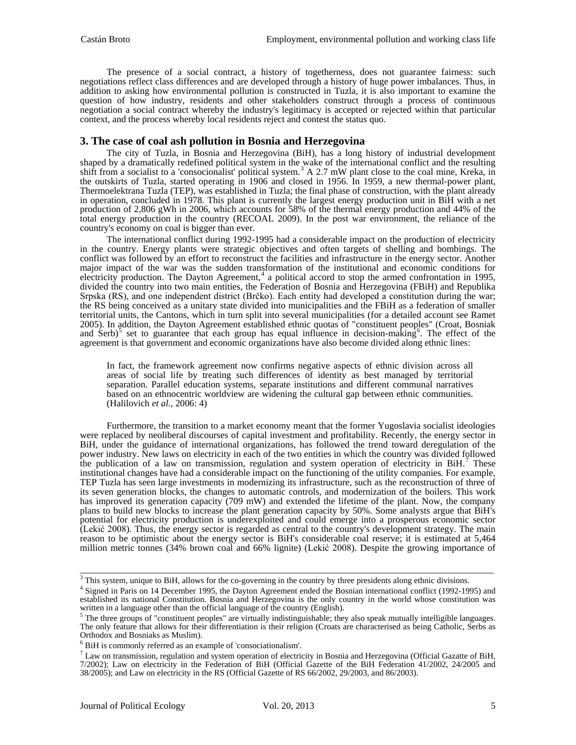The presence of a social contract, a history of togetherness, does not guarantee fairness: such negotiations reflect class differences and are developed through a history of huge power imbalances. Thus, in addition to asking how environmental pollution is constructed in Tuzla, it is also important to examine the question of how industry, residents and other stakeholders construct through a process of continuous negotiation a social contract whereby the industry's legitimacy is accepted or rejected within that particular context, and the process whereby local residents reject and contest the status quo.

## **3. The case of coal ash pollution in Bosnia and Herzegovina**

The city of Tuzla, in Bosnia and Herzegovina (BiH), has a long history of industrial development shaped by a dramatically redefined political system in the wake of the international conflict and the resulting shift from a socialist to a 'consocionalist' political system.<sup>[3](#page-4-0)</sup> A 2.7 mW plant close to the coal mine, Kreka, in the outskirts of Tuzla, started operating in 1906 and closed in 1956. In 1959, a new thermal-power plant, Thermoelektrana Tuzla (TEP), was established in Tuzla; the final phase of construction, with the plant already in operation, concluded in 1978. This plant is currently the largest energy production unit in BiH with a net production of 2,806 gWh in 2006, which accounts for 58% of the thermal energy production and 44% of the total energy production in the country (RECOAL 2009). In the post war environment, the reliance of the country's economy on coal is bigger than ever.

The international conflict during 1992-1995 had a considerable impact on the production of electricity in the country. Energy plants were strategic objectives and often targets of shelling and bombings. The conflict was followed by an effort to reconstruct the facilities and infrastructure in the energy sector. Another major impact of the war was the sudden transformation of the institutional and economic conditions for electricity production. The Dayton Agreement,<sup>[4](#page-4-1)</sup> a political accord to stop the armed confrontation in 1995, divided the country into two main entities, the Federation of Bosnia and Herzegovina (FBiH) and Republika Srpska (RS), and one independent district (Brčko). Each entity had developed a constitution during the war; the RS being conceived as a unitary state divided into municipalities and the FBiH as a federation of smaller territorial units, the Cantons, which in turn split into several municipalities (for a detailed account see Ramet 2005). In addition, the Dayton Agreement established ethnic quotas of "constituent peoples" (Croat, Bosniak and Serb)<sup>[5](#page-4-2)</sup> set to guarantee that each group has equal influence in decision-making<sup>[6](#page-4-3)</sup>. The effect of the agreement is that government and economic organizations have also become divided along ethnic lines:

In fact, the framework agreement now confirms negative aspects of ethnic division across all areas of social life by treating such differences of identity as best managed by territorial separation. Parallel education systems, separate institutions and different communal narratives based on an ethnocentric worldview are widening the cultural gap between ethnic communities. (Halilovich *et al.*, 2006: 4)

Furthermore, the transition to a market economy meant that the former Yugoslavia socialist ideologies were replaced by neoliberal discourses of capital investment and profitability. Recently, the energy sector in BiH, under the guidance of international organizations, has followed the trend toward deregulation of the power industry. New laws on electricity in each of the two entities in which the country was divided followed the publication of a law on transmission, regulation and system operation of electricity in BiH.<sup>[7](#page-4-4)</sup> These institutional changes have had a considerable impact on the functioning of the utility companies. For example, TEP Tuzla has seen large investments in modernizing its infrastructure, such as the reconstruction of three of its seven generation blocks, the changes to automatic controls, and modernization of the boilers. This work has improved its generation capacity (709 mW) and extended the lifetime of the plant. Now, the company plans to build new blocks to increase the plant generation capacity by 50%. Some analysts argue that BiH's potential for electricity production is underexploited and could emerge into a prosperous economic sector (Lekić 2008). Thus, the energy sector is regarded as central to the country's development strategy. The main reason to be optimistic about the energy sector is BiH's considerable coal reserve; it is estimated at 5,464 million metric tonnes (34% brown coal and 66% lignite) (Lekić 2008). Despite the growing importance of

\_\_\_\_\_\_\_\_\_\_\_\_\_\_\_\_\_\_\_\_\_\_\_\_\_\_\_\_\_\_\_\_\_\_\_\_\_\_\_\_\_\_\_\_\_\_\_\_\_\_\_\_\_\_\_\_\_\_\_\_\_\_\_\_\_\_\_\_\_\_\_\_\_\_\_\_\_\_\_\_\_\_\_\_\_\_\_\_

<span id="page-4-1"></span><span id="page-4-0"></span> $3$  This system, unique to BiH, allows for the co-governing in the country by three presidents along ethnic divisions.<br> $4$  Signed in Paris on 14 December 1995, the Dayton Agreement ended the Bosnian international conflict established its national Constitution. Bosnia and Herzegovina is the only country in the world whose constitution was written in a language other than the official language of the country (English).

<span id="page-4-2"></span><sup>&</sup>lt;sup>5</sup> The three groups of "constituent peoples" are virtually indistinguishable; they also speak mutually intelligible languages. The only feature that allows for their differentiation is their religion (Croats are characterised as being Catholic, Serbs as Orthodox and Bosniaks as Muslim).

<span id="page-4-3"></span><sup>6</sup> BiH is commonly referred as an example of 'consociationalism'.

<span id="page-4-4"></span> $^7$  Law on transmission, regulation and system operation of electricity in Bosnia and Herzegovina (Official Gazatte of BiH, 7/2002); Law on electricity in the Federation of BiH (Official Gazette of the BiH Federation 41/2002, 24/2005 and 38/2005); and Law on electricity in the RS (Official Gazette of RS 66/2002, 29/2003, and 86/2003).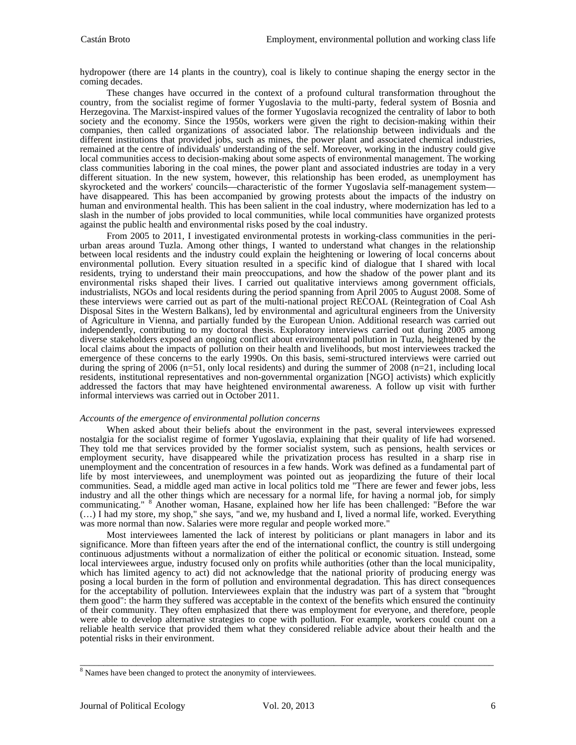hydropower (there are 14 plants in the country), coal is likely to continue shaping the energy sector in the coming decades.

These changes have occurred in the context of a profound cultural transformation throughout the country, from the socialist regime of former Yugoslavia to the multi-party, federal system of Bosnia and Herzegovina. The Marxist-inspired values of the former Yugoslavia recognized the centrality of labor to both society and the economy. Since the 1950s, workers were given the right to decision-making within their companies, then called organizations of associated labor. The relationship between individuals and the different institutions that provided jobs, such as mines, the power plant and associated chemical industries, remained at the centre of individuals' understanding of the self. Moreover, working in the industry could give local communities access to decision-making about some aspects of environmental management. The working class communities laboring in the coal mines, the power plant and associated industries are today in a very different situation. In the new system, however, this relationship has been eroded, as unemployment has skyrocketed and the workers' councils—characteristic of the former Yugoslavia self-management system have disappeared. This has been accompanied by growing protests about the impacts of the industry on human and environmental health. This has been salient in the coal industry, where modernization has led to a slash in the number of jobs provided to local communities, while local communities have organized protests against the public health and environmental risks posed by the coal industry.

From 2005 to 2011, I investigated environmental protests in working-class communities in the peri- urban areas around Tuzla. Among other things, I wanted to understand what changes in the relationship between local residents and the industry could explain the heightening or lowering of local concerns about environmental pollution. Every situation resulted in a specific kind of dialogue that I shared with local residents, trying to understand their main preoccupations, and how the shadow of the power plant and its environmental risks shaped their lives. I carried out qualitative interviews among government officials, industrialists, NGOs and local residents during the period spanning from April 2005 to August 2008. Some of these interviews were carried out as part of the multi-national project RECOAL (Reintegration of Coal Ash Disposal Sites in the Western Balkans), led by environmental and agricultural engineers from the University of Agriculture in Vienna, and partially funded by the European Union. Additional research was carried out independently, contributing to my doctoral thesis. Exploratory interviews carried out during 2005 among diverse stakeholders exposed an ongoing conflict about environmental pollution in Tuzla, heightened by the local claims about the impacts of pollution on their health and livelihoods, but most interviewees tracked the emergence of these concerns to the early 1990s. On this basis, semi-structured interviews were carried out during the spring of 2006 (n=51, only local residents) and during the summer of 2008 (n=21, including local residents, institutional representatives and non-governmental organization [NGO] activists) which explicitly addressed the factors that may have heightened environmental awareness. A follow up visit with further informal interviews was carried out in October 2011.

#### *Accounts of the emergence of environmental pollution concerns*

When asked about their beliefs about the environment in the past, several interviewees expressed nostalgia for the socialist regime of former Yugoslavia, explaining that their quality of life had worsened. They told me that services provided by the former socialist system, such as pensions, health services or employment security, have disappeared while the privatization process has resulted in a sharp rise in unemployment and the concentration of resources in a few hands. Work was defined as a fundamental part of life by most interviewees, and unemployment was pointed out as jeopardizing the future of their local communities. Sead, a middle aged man active in local politics told me "There are fewer and fewer jobs, less industry and all the other things which are necessary for a normal life, for having a normal job, for simply communicating." <sup>[8](#page-5-0)</sup> Another woman, Hasane, explained how her life has been challenged: "Before the war (…) I had my store, my shop," she says, "and we, my husband and I, lived a normal life, worked. Everything was more normal than now. Salaries were more regular and people worked more."

Most interviewees lamented the lack of interest by politicians or plant managers in labor and its significance. More than fifteen years after the end of the international conflict, the country is still undergoing continuous adjustments without a normalization of either the political or economic situation. Instead, some local interviewees argue, industry focused only on profits while authorities (other than the local municipality, which has limited agency to act) did not acknowledge that the national priority of producing energy was posing a local burden in the form of pollution and environmental degradation. This has direct consequences for the acceptability of pollution. Interviewees explain that the industry was part of a system that "brought them good": the harm they suffered was acceptable in the context of the benefits which ensured the continuity of their community. They often emphasized that there was employment for everyone, and therefore, people were able to develop alternative strategies to cope with pollution. For example, workers could count on a reliable health service that provided them what they considered reliable advice about their health and the potential risks in their environment.

\_\_\_\_\_\_\_\_\_\_\_\_\_\_\_\_\_\_\_\_\_\_\_\_\_\_\_\_\_\_\_\_\_\_\_\_\_\_\_\_\_\_\_\_\_\_\_\_\_\_\_\_\_\_\_\_\_\_\_\_\_\_\_\_\_\_\_\_\_\_\_\_\_\_\_\_\_\_\_\_\_\_\_\_\_\_\_\_

<span id="page-5-0"></span> $8$  Names have been changed to protect the anonymity of interviewees.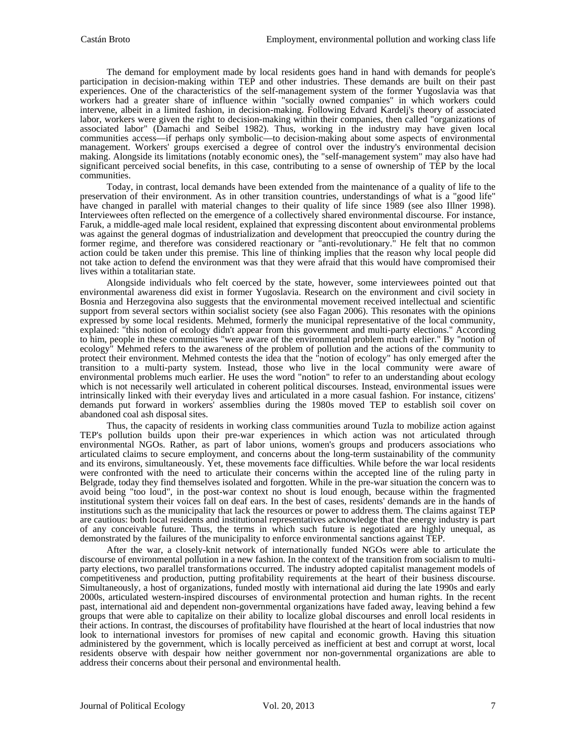The demand for employment made by local residents goes hand in hand with demands for people's participation in decision-making within TEP and other industries. These demands are built on their past experiences. One of the characteristics of the self-management system of the former Yugoslavia was that workers had a greater share of influence within "socially owned companies" in which workers could intervene, albeit in a limited fashion, in decision-making. Following Edvard Kardelj's theory of associated labor, workers were given the right to decision-making within their companies, then called "organizations of associated labor" (Damachi and Seibel 1982). Thus, working in the industry may have given local communities access—if perhaps only symbolic—to decision-making about some aspects of environmental management. Workers' groups exercised a degree of control over the industry's environmental decision making. Alongside its limitations (notably economic ones), the "self-management system" may also have had significant perceived social benefits, in this case, contributing to a sense of ownership of TEP by the local communities.

Today, in contrast, local demands have been extended from the maintenance of a quality of life to the preservation of their environment. As in other transition countries, understandings of what is a "good life" have changed in parallel with material changes to their quality of life since 1989 (see also Illner 1998). Interviewees often reflected on the emergence of a collectively shared environmental discourse. For instance, Faruk, a middle-aged male local resident, explained that expressing discontent about environmental problems was against the general dogmas of industrialization and development that preoccupied the country during the former regime, and therefore was considered reactionary or "anti-revolutionary." He felt that no common action could be taken under this premise. This line of thinking implies that the reason why local people did not take action to defend the environment was that they were afraid that this would have compromised their lives within a totalitarian state.

Alongside individuals who felt coerced by the state, however, some interviewees pointed out that environmental awareness did exist in former Yugoslavia. Research on the environment and civil society in Bosnia and Herzegovina also suggests that the environmental movement received intellectual and scientific support from several sectors within socialist society (see also Fagan 2006). This resonates with the opinions expressed by some local residents. Mehmed, formerly the municipal representative of the local community, explained: "this notion of ecology didn't appear from this government and multi-party elections." According to him, people in these communities "were aware of the environmental problem much earlier." By "notion of ecology" Mehmed refers to the awareness of the problem of pollution and the actions of the community to protect their environment. Mehmed contests the idea that the "notion of ecology" has only emerged after the transition to a multi-party system. Instead, those who live in the local community were aware of environmental problems much earlier. He uses the word "notion" to refer to an understanding about ecology which is not necessarily well articulated in coherent political discourses. Instead, environmental issues were<br>intrinsically linked with their everyday lives and articulated in a more casual fashion. For instance, citizens demands put forward in workers' assemblies during the 1980s moved TEP to establish soil cover on abandoned coal ash disposal sites.

Thus, the capacity of residents in working class communities around Tuzla to mobilize action against TEP's pollution builds upon their pre-war experiences in which action was not articulated through environmental NGOs. Rather, as part of labor unions, women's groups and producers associations who articulated claims to secure employment, and concerns about the long-term sustainability of the community and its environs, simultaneously. Yet, these movements face difficulties. While before the war local residents were confronted with the need to articulate their concerns within the accepted line of the ruling party in Belgrade, today they find themselves isolated and forgotten. While in the pre-war situation the concern was to avoid being "too loud", in the post-war context no shout is loud enough, because within the fragmented institutional system their voices fall on deaf ears. In the best of cases, residents' demands are in the hands of institutions such as the municipality that lack the resources or power to address them. The claims against TEP are cautious: both local residents and institutional representatives acknowledge that the energy industry is part of any conceivable future. Thus, the terms in which such future is negotiated are highly unequal, as demonstrated by the failures of the municipality to enforce environmental sanctions against TEP.

After the war, a closely-knit network of internationally funded NGOs were able to articulate the discourse of environmental pollution in a new fashion. In the context of the transition from socialism to multiparty elections, two parallel transformations occurred. The industry adopted capitalist management models of competitiveness and production, putting profitability requirements at the heart of their business discourse. Simultaneously, a host of organizations, funded mostly with international aid during the late 1990s and early 2000s, articulated western-inspired discourses of environmental protection and human rights. In the recent past, international aid and dependent non-governmental organizations have faded away, leaving behind a few groups that were able to capitalize on their ability to localize global discourses and enroll local residents in their actions. In contrast, the discourses of profitability have flourished at the heart of local industries that now look to international investors for promises of new capital and economic growth. Having this situation administered by the government, which is locally perceived as inefficient at best and corrupt at worst, local residents observe with despair how neither government nor non-governmental organizations are able to address their concerns about their personal and environmental health.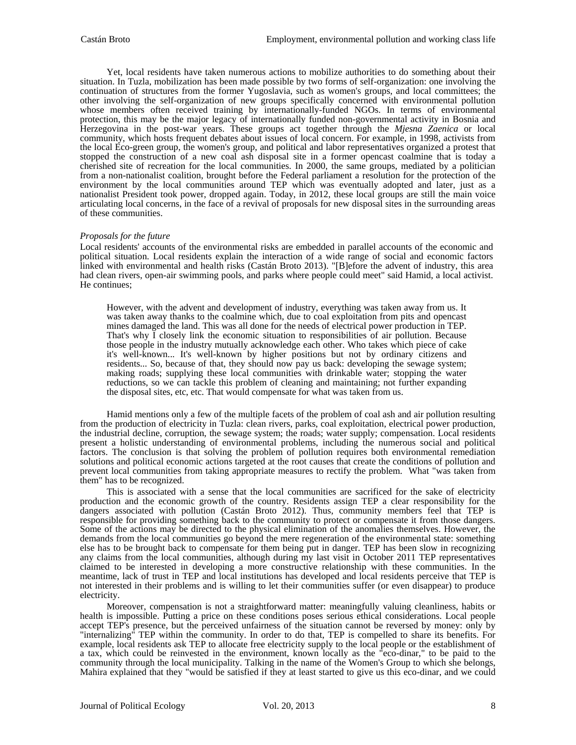Yet, local residents have taken numerous actions to mobilize authorities to do something about their situation. In Tuzla, mobilization has been made possible by two forms of self-organization: one involving the continuation of structures from the former Yugoslavia, such as women's groups, and local committees; the other involving the self-organization of new groups specifically concerned with environmental pollution whose members often received training by internationally-funded NGOs. In terms of environmental protection, this may be the major legacy of internationally funded non-governmental activity in Bosnia and Herzegovina in the post-war years. These groups act together through the *Mjesna Zaenica* or local community, which hosts frequent debates about issues of local concern. For example, in 1998, activists from the local Eco-green group, the women's group, and political and labor representatives organized a protest that stopped the construction of a new coal ash disposal site in a former opencast coalmine that is today a cherished site of recreation for the local communities. In 2000, the same groups, mediated by a politician from a non-nationalist coalition, brought before the Federal parliament a resolution for the protection of the environment by the local communities around TEP which was eventually adopted and later, just as a nationalist President took power, dropped again. Today, in 2012, these local groups are still the main voice articulating local concerns, in the face of a revival of proposals for new disposal sites in the surrounding areas of these communities.

#### *Proposals for the future*

Local residents' accounts of the environmental risks are embedded in parallel accounts of the economic and political situation. Local residents explain the interaction of a wide range of social and economic factors linked with environmental and health risks (Castán Broto 2013). "[B]efore the advent of industry, this area had clean rivers, open-air swimming pools, and parks where people could meet" said Hamid, a local activist. He continues;

However, with the advent and development of industry, everything was taken away from us. It was taken away thanks to the coalmine which, due to coal exploitation from pits and opencast mines damaged the land. This was all done for the needs of electrical power production in TEP. That's why I closely link the economic situation to responsibilities of air pollution. Because those people in the industry mutually acknowledge each other. Who takes which piece of cake it's well-known... It's well-known by higher positions but not by ordinary citizens and residents... So, because of that, they should now pay us back: developing the sewage system; making roads; supplying these local communities with drinkable water; stopping the water reductions, so we can tackle this problem of cleaning and maintaining; not further expanding the disposal sites, etc, etc. That would compensate for what was taken from us.

Hamid mentions only a few of the multiple facets of the problem of coal ash and air pollution resulting from the production of electricity in Tuzla: clean rivers, parks, coal exploitation, electrical power production, the industrial decline, corruption, the sewage system; the roads; water supply; compensation. Local residents present a holistic understanding of environmental problems, including the numerous social and political factors. The conclusion is that solving the problem of pollution requires both environmental remediation solutions and political economic actions targeted at the root causes that create the conditions of pollution and prevent local communities from taking appropriate measures to rectify the problem. What "was taken from them" has to be recognized.

This is associated with a sense that the local communities are sacrificed for the sake of electricity production and the economic growth of the country. Residents assign TEP a clear responsibility for the dangers associated with pollution (Castán Broto 2012). Thus, community members feel that TEP is responsible for providing something back to the community to protect or compensate it from those dangers. Some of the actions may be directed to the physical elimination of the anomalies themselves. However, the demands from the local communities go beyond the mere regeneration of the environmental state: something else has to be brought back to compensate for them being put in danger. TEP has been slow in recognizing any claims from the local communities, although during my last visit in October 2011 TEP representatives claimed to be interested in developing a more constructive relationship with these communities. In the meantime, lack of trust in TEP and local institutions has developed and local residents perceive that TEP is not interested in their problems and is willing to let their communities suffer (or even disappear) to produce electricity.

Moreover, compensation is not a straightforward matter: meaningfully valuing cleanliness, habits or health is impossible. Putting a price on these conditions poses serious ethical considerations. Local people accept TEP's presence, but the perceived unfairness of the situation cannot be reversed by money: only by "internalizing" TEP within the community. In order to do that, TEP is compelled to share its benefits. For example, local residents ask TEP to allocate free electricity supply to the local people or the establishment of a tax, which could be reinvested in the environment, known locally as the "eco-dinar," to be paid to the community through the local municipality. Talking in the name of the Women's Group to which she belongs, Mahira explained that they "would be satisfied if they at least started to give us this eco-dinar, and we could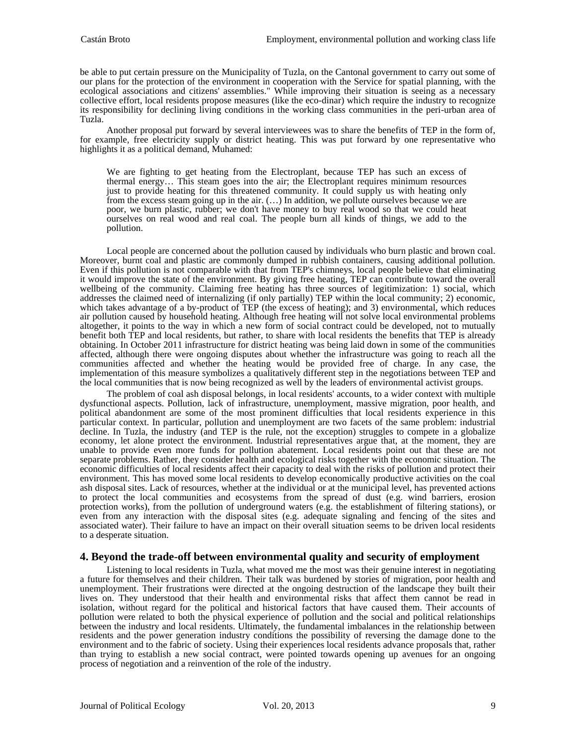be able to put certain pressure on the Municipality of Tuzla, on the Cantonal government to carry out some of our plans for the protection of the environment in cooperation with the Service for spatial planning, with the ecological associations and citizens' assemblies." While improving their situation is seeing as a necessary collective effort, local residents propose measures (like the eco-dinar) which require the industry to recognize its responsibility for declining living conditions in the working class communities in the peri-urban area of Tuzla.

Another proposal put forward by several interviewees was to share the benefits of TEP in the form of, for example, free electricity supply or district heating. This was put forward by one representative who highlights it as a political demand, Muhamed:

We are fighting to get heating from the Electroplant, because TEP has such an excess of thermal energy… This steam goes into the air; the Electroplant requires minimum resources just to provide heating for this threatened community. It could supply us with heating only from the excess steam going up in the air. (…) In addition, we pollute ourselves because we are poor, we burn plastic, rubber; we don't have money to buy real wood so that we could heat ourselves on real wood and real coal. The people burn all kinds of things, we add to the pollution.

Local people are concerned about the pollution caused by individuals who burn plastic and brown coal. Moreover, burnt coal and plastic are commonly dumped in rubbish containers, causing additional pollution. Even if this pollution is not comparable with that from TEP's chimneys, local people believe that eliminating it would improve the state of the environment. By giving free heating, TEP can contribute toward the overall wellbeing of the community. Claiming free heating has three sources of legitimization: 1) social, which addresses the claimed need of internalizing (if only partially) TEP within the local community; 2) economic, which takes advantage of a by-product of TEP (the excess of heating); and 3) environmental, which reduces air pollution caused by household heating. Although free heating will not solve local environmental problems altogether, it points to the way in which a new form of social contract could be developed, not to mutually benefit both TEP and local residents, but rather, to share with local residents the benefits that TEP is already obtaining. In October 2011 infrastructure for district heating was being laid down in some of the communities affected, although there were ongoing disputes about whether the infrastructure was going to reach all the communities affected and whether the heating would be provided free of charge. In any case, the implementation of this measure symbolizes a qualitatively different step in the negotiations between TEP and the local communities that is now being recognized as well by the leaders of environmental activist groups.

The problem of coal ash disposal belongs, in local residents' accounts, to a wider context with multiple dysfunctional aspects. Pollution, lack of infrastructure, unemployment, massive migration, poor health, and political abandonment are some of the most prominent difficulties that local residents experience in this particular context. In particular, pollution and unemployment are two facets of the same problem: industrial decline. In Tuzla, the industry (and TEP is the rule, not the exception) struggles to compete in a globalize economy, let alone protect the environment. Industrial representatives argue that, at the moment, they are unable to provide even more funds for pollution abatement. Local residents point out that these are not separate problems. Rather, they consider health and ecological risks together with the economic situation. The economic difficulties of local residents affect their capacity to deal with the risks of pollution and protect their environment. This has moved some local residents to develop economically productive activities on the coal ash disposal sites. Lack of resources, whether at the individual or at the municipal level, has prevented actions to protect the local communities and ecosystems from the spread of dust (e.g. wind barriers, erosion protection works), from the pollution of underground waters (e.g. the establishment of filtering stations), or even from any interaction with the disposal sites (e.g. adequate signaling and fencing of the sites and associated water). Their failure to have an impact on their overall situation seems to be driven local residents to a desperate situation.

# **4. Beyond the trade-off between environmental quality and security of employment**

Listening to local residents in Tuzla, what moved me the most was their genuine interest in negotiating a future for themselves and their children. Their talk was burdened by stories of migration, poor health and unemployment. Their frustrations were directed at the ongoing destruction of the landscape they built their lives on. They understood that their health and environmental risks that affect them cannot be read in isolation, without regard for the political and historical factors that have caused them. Their accounts of pollution were related to both the physical experience of pollution and the social and political relationships between the industry and local residents. Ultimately, the fundamental imbalances in the relationship between residents and the power generation industry conditions the possibility of reversing the damage done to the environment and to the fabric of society. Using their experiences local residents advance proposals that, rather than trying to establish a new social contract, were pointed towards opening up avenues for an ongoing process of negotiation and a reinvention of the role of the industry.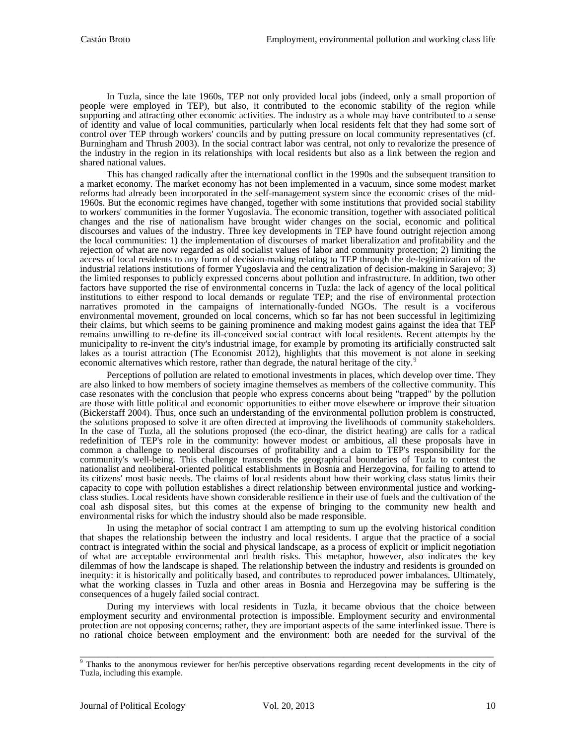In Tuzla, since the late 1960s, TEP not only provided local jobs (indeed, only a small proportion of people were employed in TEP), but also, it contributed to the economic stability of the region while supporting and attracting other economic activities. The industry as a whole may have contributed to a sense of identity and value of local communities, particularly when local residents felt that they had some sort of control over TEP through workers' councils and by putting pressure on local community representatives (cf. Burningham and Thrush 2003). In the social contract labor was central, not only to revalorize the presence of the industry in the region in its relationships with local residents but also as a link between the region and shared national values.

This has changed radically after the international conflict in the 1990s and the subsequent transition to a market economy. The market economy has not been implemented in a vacuum, since some modest market reforms had already been incorporated in the self-management system since the economic crises of the mid-1960s. But the economic regimes have changed, together with some institutions that provided social stability to workers' communities in the former Yugoslavia. The economic transition, together with associated political changes and the rise of nationalism have brought wider changes on the social, economic and political discourses and values of the industry. Three key developments in TEP have found outright rejection among the local communities: 1) the implementation of discourses of market liberalization and profitability and the rejection of what are now regarded as old socialist values of labor and community protection; 2) limiting the access of local residents to any form of decision-making relating to TEP through the de-legitimization of the industrial relations institutions of former Yugoslavia and the centralization of decision-making in Sarajevo; 3) the limited responses to publicly expressed concerns about pollution and infrastructure. In addition, two other factors have supported the rise of environmental concerns in Tuzla: the lack of agency of the local political institutions to either respond to local demands or regulate TEP; and the rise of environmental protection narratives promoted in the campaigns of internationally-funded NGOs. The result is a vociferous environmental movement, grounded on local concerns, which so far has not been successful in legitimizing their claims, but which seems to be gaining prominence and making modest gains against the idea that TEP remains unwilling to re-define its ill-conceived social contract with local residents. Recent attempts by the municipality to re-invent the city's industrial image, for example by promoting its artificially constructed salt lakes as a tourist attraction (The Economist 2012), highlights that this movement is not alone in seeking economic alternatives which restore, rather than degrade, the natural heritage of the city.<sup>[9](#page-9-0)</sup>

Perceptions of pollution are related to emotional investments in places, which develop over time. They are also linked to how members of society imagine themselves as members of the collective community. This case resonates with the conclusion that people who express concerns about being "trapped" by the pollution are those with little political and economic opportunities to either move elsewhere or improve their situation (Bickerstaff 2004). Thus, once such an understanding of the environmental pollution problem is constructed, the solutions proposed to solve it are often directed at improving the livelihoods of community stakeholders. In the case of Tuzla, all the solutions proposed (the eco-dinar, the district heating) are calls for a radical redefinition of TEP's role in the community: however modest or ambitious, all these proposals have in common a challenge to neoliberal discourses of profitability and a claim to TEP's responsibility for the community's well-being. This challenge transcends the geographical boundaries of Tuzla to contest the nationalist and neoliberal-oriented political establishments in Bosnia and Herzegovina, for failing to attend to its citizens' most basic needs. The claims of local residents about how their working class status limits their capacity to cope with pollution establishes a direct relationship between environmental justice and workingclass studies. Local residents have shown considerable resilience in their use of fuels and the cultivation of the coal ash disposal sites, but this comes at the expense of bringing to the community new health and environmental risks for which the industry should also be made responsible.

In using the metaphor of social contract I am attempting to sum up the evolving historical condition that shapes the relationship between the industry and local residents. I argue that the practice of a social contract is integrated within the social and physical landscape, as a process of explicit or implicit negotiation of what are acceptable environmental and health risks. This metaphor, however, also indicates the key dilemmas of how the landscape is shaped. The relationship between the industry and residents is grounded on inequity: it is historically and politically based, and contributes to reproduced power imbalances. Ultimately, what the working classes in Tuzla and other areas in Bosnia and Herzegovina may be suffering is the consequences of a hugely failed social contract.

During my interviews with local residents in Tuzla, it became obvious that the choice between employment security and environmental protection is impossible. Employment security and environmental protection are not opposing concerns; rather, they are important aspects of the same interlinked issue. There is no rational choice between employment and the environment: both are needed for the survival of the

<span id="page-9-0"></span>\_\_\_\_\_\_\_\_\_\_\_\_\_\_\_\_\_\_\_\_\_\_\_\_\_\_\_\_\_\_\_\_\_\_\_\_\_\_\_\_\_\_\_\_\_\_\_\_\_\_\_\_\_\_\_\_\_\_\_\_\_\_\_\_\_\_\_\_\_\_\_\_\_\_\_\_\_\_\_\_\_\_\_\_\_\_\_\_ <sup>9</sup> Thanks to the anonymous reviewer for her/his perceptive observations regarding recent developments in the city of Tuzla, including this example.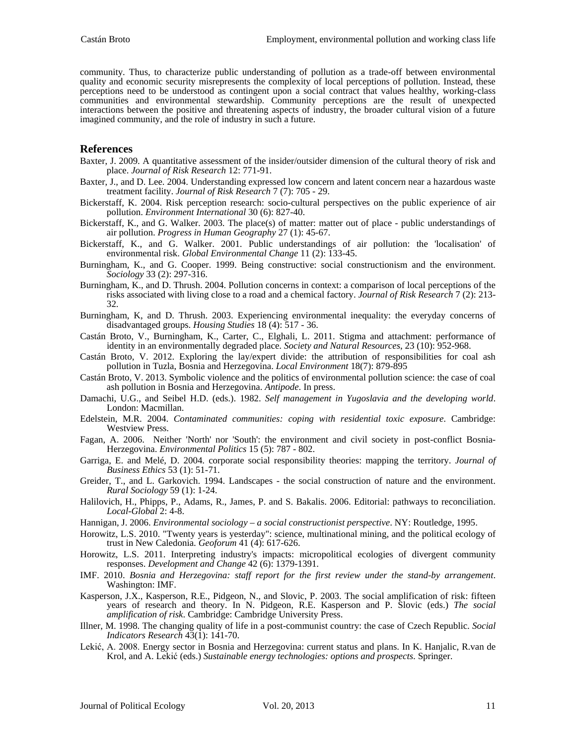community. Thus, to characterize public understanding of pollution as a trade-off between environmental quality and economic security misrepresents the complexity of local perceptions of pollution. Instead, these perceptions need to be understood as contingent upon a social contract that values healthy, working-class communities and environmental stewardship. Community perceptions are the result of unexpected interactions between the positive and threatening aspects of industry, the broader cultural vision of a future imagined community, and the role of industry in such a future.

# **References**

- Baxter, J. 2009. A quantitative assessment of the insider/outsider dimension of the cultural theory of risk and place. *Journal of Risk Research* 12: 771-91.
- Baxter, J., and D. Lee. 2004. Understanding expressed low concern and latent concern near a hazardous waste treatment facility. *Journal of Risk Research* 7 (7): 705 - 29.
- Bickerstaff, K. 2004. Risk perception research: socio-cultural perspectives on the public experience of air pollution. *Environment International* 30 (6): 827-40.
- Bickerstaff, K., and G. Walker. 2003. The place(s) of matter: matter out of place public understandings of air pollution. *Progress in Human Geography* 27 (1): 45-67.
- Bickerstaff, K., and G. Walker. 2001. Public understandings of air pollution: the 'localisation' of environmental risk. *Global Environmental Change* 11 (2): 133-45.
- Burningham, K., and G. Cooper. 1999. Being constructive: social constructionism and the environment. *Sociology* 33 (2): 297-316.
- Burningham, K., and D. Thrush. 2004. Pollution concerns in context: a comparison of local perceptions of the risks associated with living close to a road and a chemical factory. *Journal of Risk Research* 7 (2): 213- 32.
- Burningham, K, and D. Thrush. 2003. Experiencing environmental inequality: the everyday concerns of disadvantaged groups. *Housing Studies* 18 (4): 517 - 36.
- Castán Broto, V., Burningham, K., Carter, C., Elghali, L. 2011. Stigma and attachment: performance of identity in an environmentally degraded place. *Society and Natural Resources*, 23 (10): 952-968.
- Castán Broto, V. 2012. Exploring the lay/expert divide: the attribution of responsibilities for coal ash pollution in Tuzla, Bosnia and Herzegovina. *Local Environment* 18(7): 879-895
- Castán Broto, V. 2013. Symbolic violence and the politics of environmental pollution science: the case of coal ash pollution in Bosnia and Herzegovina. *Antipode*. In press.
- Damachi, U.G., and Seibel H.D. (eds.). 1982. *Self management in Yugoslavia and the developing world*. London: Macmillan.
- Edelstein, M.R. 2004. *Contaminated communities: coping with residential toxic exposure*. Cambridge: Westview Press.
- Fagan, A. 2006. Neither 'North' nor 'South': the environment and civil society in post-conflict Bosnia- Herzegovina. *Environmental Politics* 15 (5): 787 802.
- Garriga, E. and Melé, D. 2004. corporate social responsibility theories: mapping the territory. *Journal of Business Ethics* 53 (1): 51-71.
- Greider, T., and L. Garkovich. 1994. Landscapes the social construction of nature and the environment. *Rural Sociology* 59 (1): 1-24.
- Halilovich, H., Phipps, P., Adams, R., James, P. and S. Bakalis. 2006. Editorial: pathways to reconciliation. *Local-Global* 2: 4-8.
- Hannigan, J. 2006. *Environmental sociology – a social constructionist perspective*. NY: Routledge, 1995.
- Horowitz, L.S. 2010. "Twenty years is yesterday": science, multinational mining, and the political ecology of trust in New Caledonia. *Geoforum* 41 (4): 617-626.
- Horowitz, L.S. 2011. Interpreting industry's impacts: micropolitical ecologies of divergent community responses. *Development and Change* 42 (6): 1379-1391.
- IMF. 2010. *Bosnia and Herzegovina: staff report for the first review under the stand-by arrangement*. Washington: IMF.
- Kasperson, J.X., Kasperson, R.E., Pidgeon, N., and Slovic, P. 2003. The social amplification of risk: fifteen years of research and theory. In N. Pidgeon, R.E. Kasperson and P. Slovic (eds.) *The social amplification of risk*. Cambridge: Cambridge University Press.
- Illner, M. 1998. The changing quality of life in a post-communist country: the case of Czech Republic. *Social Indicators Research* 43(1): 141-70.
- Lekić, A. 2008. Energy sector in Bosnia and Herzegovina: current status and plans. In K. Hanjalic, R.van de Krol, and A. Lekić (eds.) *Sustainable energy technologies: options and prospects*. Springer.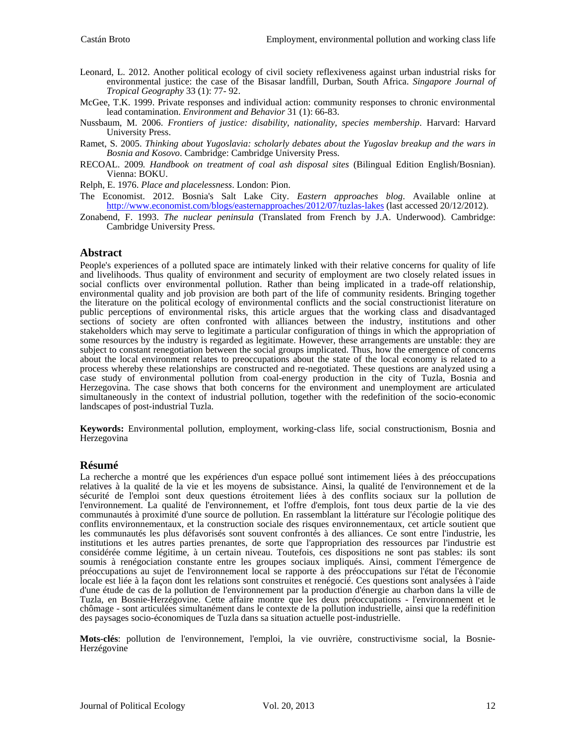- Leonard, L. 2012. Another political ecology of civil society reflexiveness against urban industrial risks for environmental justice: the case of the Bisasar landfill, Durban, South Africa. *Singapore Journal of Tropical Geography* 33 (1): 77- 92.
- McGee, T.K. 1999. Private responses and individual action: community responses to chronic environmental lead contamination. *Environment and Behavior* 31 (1): 66-83.
- Nussbaum, M. 2006. *Frontiers of justice: disability, nationality, species membership.* Harvard: Harvard University Press.
- Ramet, S. 2005. *Thinking about Yugoslavia: scholarly debates about the Yugoslav breakup and the wars in Bosnia and Kosovo*. Cambridge: Cambridge University Press.
- RECOAL. 2009*. Handbook on treatment of coal ash disposal sites* (Bilingual Edition English/Bosnian). Vienna: BOKU.

Relph, E. 1976. *Place and placelessness*. London: Pion.

- The Economist. 2012. Bosnia's Salt Lake City. *Eastern approaches blog*. Available online at <http://www.economist.com/blogs/easternapproaches/2012/07/tuzlas-lakes> (last accessed 20/12/2012).
- Zonabend, F. 1993. *The nuclear peninsula* (Translated from French by J.A. Underwood). Cambridge: Cambridge University Press.

### **Abstract**

People's experiences of a polluted space are intimately linked with their relative concerns for quality of life and livelihoods. Thus quality of environment and security of employment are two closely related issues in social conflicts over environmental pollution. Rather than being implicated in a trade-off relationship, environmental quality and job provision are both part of the life of community residents. Bringing together the literature on the political ecology of environmental conflicts and the social constructionist literature on public perceptions of environmental risks, this article argues that the working class and disadvantaged sections of society are often confronted with alliances between the industry, institutions and other stakeholders which may serve to legitimate a particular configuration of things in which the appropriation of some resources by the industry is regarded as legitimate. However, these arrangements are unstable: they are subject to constant renegotiation between the social groups implicated. Thus, how the emergence of concerns about the local environment relates to preoccupations about the state of the local economy is related to a process whereby these relationships are constructed and re-negotiated. These questions are analyzed using a case study of environmental pollution from coal-energy production in the city of Tuzla, Bosnia and Herzegovina. The case shows that both concerns for the environment and unemployment are articulated simultaneously in the context of industrial pollution, together with the redefinition of the socio-economic landscapes of post-industrial Tuzla.

**Keywords:** Environmental pollution, employment, working-class life, social constructionism, Bosnia and Herzegovina

### **Résumé**

La recherche a montré que les expériences d'un espace pollué sont intimement liées à des préoccupations relatives à la qualité de la vie et les moyens de subsistance. Ainsi, la qualité de l'environnement et de la sécurité de l'emploi sont deux questions étroitement liées à des conflits sociaux sur la pollution de l'environnement. La qualité de l'environnement, et l'offre d'emplois, font tous deux partie de la vie des communautés à proximité d'une source de pollution. En rassemblant la littérature sur l'écologie politique des conflits environnementaux, et la construction sociale des risques environnementaux, cet article soutient que les communautés les plus défavorisés sont souvent confrontés à des alliances. Ce sont entre l'industrie, les institutions et les autres parties prenantes, de sorte que l'appropriation des ressources par l'industrie est considérée comme légitime, à un certain niveau. Toutefois, ces dispositions ne sont pas stables: ils sont soumis à renégociation constante entre les groupes sociaux impliqués. Ainsi, comment l'émergence de préoccupations au sujet de l'environnement local se rapporte à des préoccupations sur l'état de l'économie locale est liée à la façon dont les relations sont construites et renégocié. Ces questions sont analysées à l'aide d'une étude de cas de la pollution de l'environnement par la production d'énergie au charbon dans la ville de Tuzla, en Bosnie-Herzégovine. Cette affaire montre que les deux préoccupations - l'environnement et le chômage - sont articulées simultanément dans le contexte de la pollution industrielle, ainsi que la redéfinition des paysages socio-économiques de Tuzla dans sa situation actuelle post-industrielle.

**Mots-clés**: pollution de l'environnement, l'emploi, la vie ouvrière, constructivisme social, la Bosnie- Herzégovine